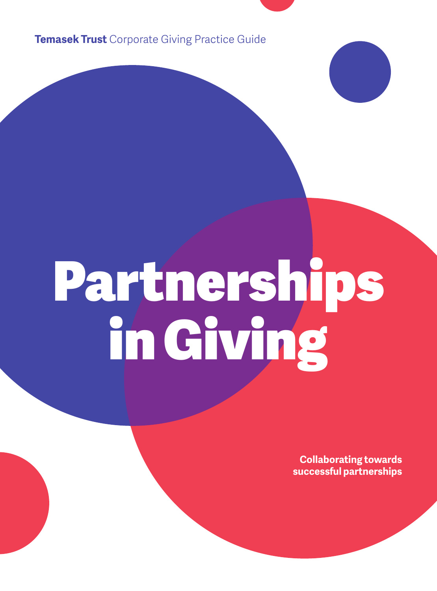**Temasek Trust** Corporate Giving Practice Guide

# Partnerships in Giving

**Collaborating towards successful partnerships**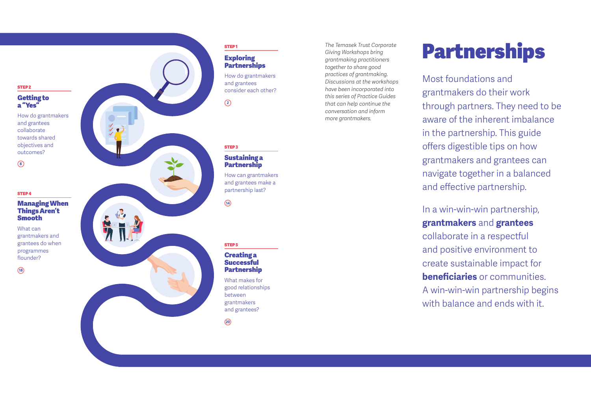#### STEP 2

#### Ge ting to a "Yes"

How do grantmakers and grantees collaborate towards shared objectives and outcomes?

**8**

#### STEP 4

#### Managing When Things Aren't Smooth

What can grantmakers and grantees do when programmes flounder?

**18**



#### **Exploring Partnerships**

How do grantmakers and grantees consider each other?

## Sustaining a

How can grantmakers and grantees make a partnership last?

#### Creating a **Successful Partnership**

What makes for good relationships between grantmakers and grantees?

*Giving Workshops bring grantmaking practitioners together to share good practices of grantmaking. Discussions at the workshops have been incorporated into this series of Practice Guides that can help continue the conversation and inform more grantmakers.*

## The Temasek Trust Corporate **Partnerships**

Most foundations and grantmakers do their work through partners. They need to be aware of the inherent imbalance in the partnership. This guide offers digestible tips on how grantmakers and grantees can navigate together in a balanced and e ffective partnership.

## In a win-win-win partnership, **grantmakers** and **grantees**

collaborate in a respectful and positive environment to create sustainable impact for **beneficiaries** or communities. A win-win-win partnership begins with balance and ends with it.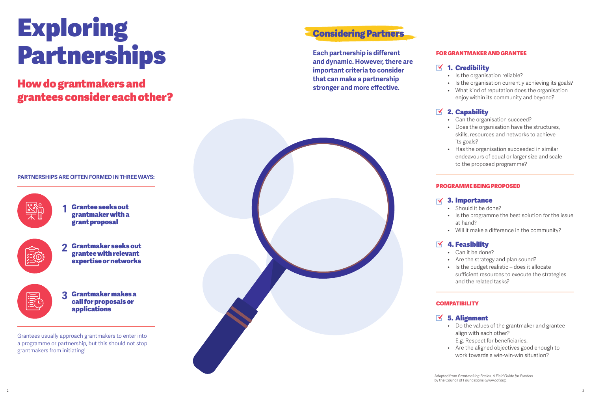# Exploring Partnerships

## **that can make a partnership is a partnership stronger and more effective.** grantees consider each other?

## Considering Partners

**Each partnership is di fferent and dynamic. However, there are important criteria to consider** 

#### **PARTNERSHIPS ARE OFTEN FORMED IN THREE WAYS:**



**1** Grantee seeks out grantmaker with a grant proposal



**2** Grantmaker seeks out grantee with relevant expertise or networks

**3** Grantmaker makes a call for proposals or applications

Grantees usually approach grantmakers to enter into a programme or partnership, but this should not stop grantmakers from initiating!



#### FOR GRANTMAKER AND GRANTEE

### $\mathbf{N}$  1. Credibility

- Is the organisation reliable?
- Is the organisation currently achieving its goals?
- What kind of reputation does the organisation enjoy within its community and beyond?

## $\mathbb{Z}$  2. Capability

- Can the organisation succeed?
- ů Does the organisation have the structures, skills, resources and networks to achieve its goals?
- Has the organisation succeeded in similar endeavours of equal or larger size and scale to the proposed programme?

#### PROGRAMME BEING PROPOSED

#### 3. Importance

- Should it be done?
- Is the programme the best solution for the issue at hand?
- ů Will it make a di fference in the community?

#### 4. Feasibility  $\mathbf{\nabla}$

- ů Can it be done?
- Are the strategy and plan sound?
- Is the budget realistic does it allocate su fficient resources to execute the strategies and the related tasks?

#### **COMPATIBILITY**

#### $\leq$  5. Alignment

- ů Do the values of the grantmaker and grantee align with each other? E.g. Respect for beneficiaries.
- ů Are the aligned objectives good enough to work towards a win-win-win situation?

Adapted from *Grantmaking Basics, A Field Guide for Funders* by the Council of Foundations (www.cof.org).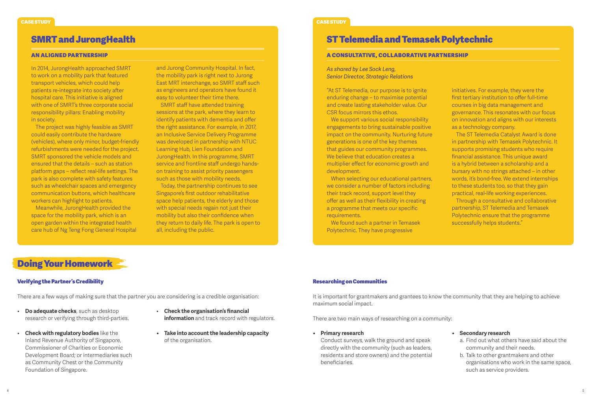In 2014, JurongHealth approached SMRT to work on a mobility park that featured transport vehicles, which could help patients re-integrate into society after hospital care. This initiative is aligned with one of SMRT's three corporate social responsibility pillars: Enabling mobility in society.

The project was highly feasible as SMRT could easily contribute the hardware (vehicles), where only minor, budget-friendly refurbishments were needed for the project. SMRT sponsored the vehicle models and ensured that the details – such as station platform gaps – reflect real-life setings. The park is also complete with safety features such as wheelchair spaces and emergency communication butons, which healthcare workers can highlight to patients.

Meanwhile, JurongHealth provided the space for the mobility park, which is an open garden within the integrated health care hub of Ng Teng Fong General Hospital and Jurong Community Hospital. In fact, the mobility park is right next to Jurong East MRT interchange, so SMRT staff such as engineers and operators have found it easy to volunteer their time there.

SMRT staff have atended training sessions at the park, where they learn to identify patients with dementia and offer the right assistance. For example, in 2017, an Inclusive Service Delivery Programme was developed in partnership with NTUC Learning Hub, Lien Foundation and JurongHealth. In this programme, SMRT service and frontline staff undergo handson training to assist priority passengers such as those with mobility needs.

Today, the partnership continues to see Singapore's first outdoor rehabilitative space help patients, the elderly and those with special needs regain not just their mobility but also their confidence when they return to daily life. The park is open to all, including the public.

#### CASE STUDY CASE STUDY

## SMRT and JurongHealth ST Telemedia and Temasek Polytechnic

#### AN ALIGNED PARTNERSHIP A CONSULTATIVE, COLLABORATIVE PARTNERSHIP

*As shared by Lee Sock Leng, Senior Director, Strategic Relations*

"At ST Telemedia, our purpose is to ignite enduring change – to maximise potential and create lasting stakeholder value. Our CSR focus mirrors this ethos.

We support various social responsibility engagements to bring sustainable positive impact on the community. Nurturing future generations is one of the key themes that guides our community programmes. We believe that education creates a multiplier effect for economic growth and development.

When selecting our educational partners, we consider a number of factors including their track record, support level they offer as well as their flexibility in creating a programme that meets our specific requirements.

We found such a partner in Temasek Polytechnic. They have progressive

initiatives. For example, they were the first tertiary institution to offer full-time courses in big data management and governance. This resonates with our focus on innovation and aligns with our interests as a technology company.

The ST Telemedia Catalyst Award is done in partnership with Temasek Polytechnic. It supports promising students who require financial assistance. This unique award is a hybrid between a scholarship and a bursary with no strings atached – in other words, it's bond-free. We extend internships to these students too, so that they gain practical, real-life working experiences. Through a consultative and collaborative

partnership, ST Telemedia and Temasek Polytechnic ensure that the programme successfully helps students."

## Doing Your Homework

#### Verifying the Partner's Credibility

There are a few ways of making sure that the partner you are considering is a credible organisation:

- ů **Do adequate checks**, such as desktop research or verifying through third-parties.
- ů **Check with regulatory bodies** like the Inland Revenue Authority of Singapore, Commissioner of Charities or Economic Development Board; or intermediaries such as Community Chest or the Community Foundation of Singapore.
- ů **Check the organisation's financial information** and track record with regulators.
- **ů Take into account the leadership capacity** of the organisation.

#### Researching on Communities

It is important for grantmakers and grantees to know the community that they are helping to achieve maximum social impact.

There are two main ways of researching on a community:

- **ů Primary research** Conduct surveys, walk the ground and speak directly with the community (such as leaders, residents and store owners) and the potential beneficiaries.
- **ů Secondary research**
	- a. Find out what others have said about the community and their needs.
	- b. Talk to other grantmakers and other organisations who work in the same space, such as service providers.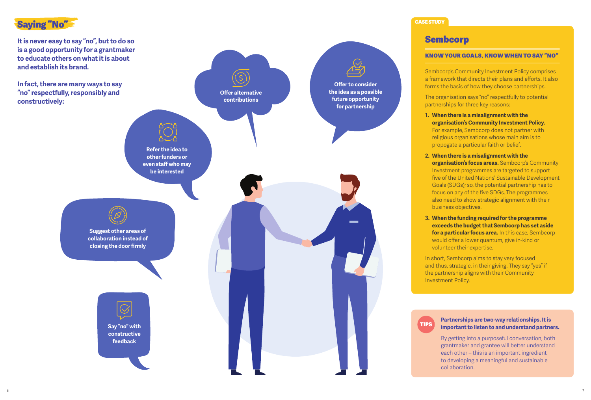

**It is never easy to say "no", but to do so is a good opportunity for a grantmaker to educate others on what it is about and establish its brand.**

**In fact, there are many ways to say "no" respectfully, responsibly and constructively:**

> **Say "no" with constructive feedback**



#### CASE STUDY

### Sembcorp

#### KNOW YOUR GOALS, KNOW WHEN TO SAY "NO"

Sembcorp's Community Investment Policy comprises a framework that directs their plans and efforts. It also forms the basis of how they choose partnerships.

The organisation says "no" respectfully to potential partnerships for three key reasons:

- **1. When there is a misalignment with the organisation's Community Investment Policy.**  For example, Sembcorp does not partner with religious organisations whose main aim is to propogate a particular faith or belief.
- **2. When there is a misalignment with the**

**organisation's focus areas.** Sembcorp's Community Investment programmes are targeted to support five of the United Nations' Sustainable Development Goals (SDGs); so, the potential partnership has to focus on any of the five SDGs. The programmes also need to show strategic alignment with their business objectives.

**3. When the funding required for the programme exceeds the budget that Sembcorp has set aside for a particular focus area.** In this case, Sembcorp would offer a lower quantum, give in-kind or volunteer their expertise.

In short, Sembcorp aims to stay very focused and thus, strategic, in their giving. They say "yes" if the partnership aligns with their Community Investment Policy.



#### **Partnerships are two-way relationships. It is important to listen to and understand partners.**

By getting into a purposeful conversation, both grantmaker and grantee will better understand each other – this is an important ingredient to developing a meaningful and sustainable collaboration.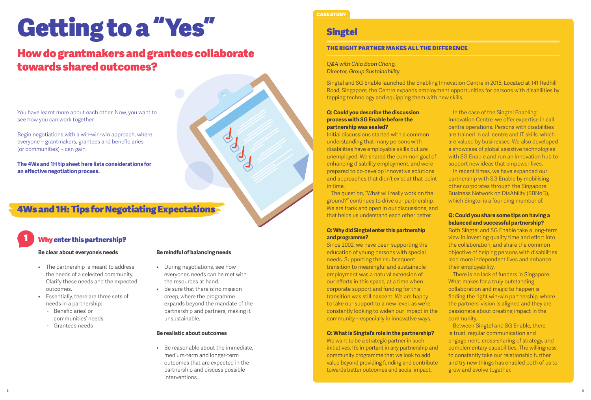# Getting to a "Yes"

## How do grantmakers and grantees collaborate towards shared outcomes?



Begin negotiations with a win-win-win approach, where everyone – grantmakers, grantees and beneficiaries (or communities) – can gain.

**The 4Ws and 1H tip sheet here lists considerations for an effective negotiation process.**

## 4Ws and 1H: Tips for Negotiating Expectations

## **Why enter this partnership?**

**Be clear about everyone's needs**

- The partnership is meant to address the needs of a selected community. Clarify these needs and the expected outcomes.
- ů Essentially, there are three sets of needs in a partnership:
	- Beneficiaries' or communities' needs
	- Grantee's needs

#### **Be mindful of balancing needs**

- During negotiations, see how everyone's needs can be met with the resources at hand.
- ů Be sure that there is no mission creep, where the programme expands beyond the mandate of the partnership and partners, making it unsustainable.

#### **Be realistic about outcomes**

• Be reasonable about the immediate. medium-term and longer-term outcomes that are expected in the partnership and discuss possible interventions.



## **Singtel**

#### THE RIGHT PARTNER MAKES ALL THE DIFFERENCE

#### *Q&A with Chia Boon Chong, Director, Group Sustainability*

Singtel and SG Enable launched the Enabling Innovation Centre in 2015. Located at 141 Redhill Road, Singapore, the Centre expands employment opportunities for persons with disabilities by tapping technology and equipping them with new skills.

#### **Q: Could you describe the discussion process with SG Enable before the partnership was sealed?**

Initial discussions started with a common understanding that many persons with disabilities have employable skills but are unemployed. We shared the common goal of enhancing disability employment, and were prepared to co-develop innovative solutions and approaches that didn't exist at that point in time.

The question, "What will really work on the ground?" continues to drive our partnership. We are frank and open in our discussions, and that helps us understand each other better.

#### **Q: Why did Singtel enter this partnership and programme?**

Since 2002, we have been supporting the education of young persons with special needs. Supporting their subsequent transition to meaningful and sustainable employment was a natural extension of our efforts in this space, at a time when corporate support and funding for this transition was still nascent. We are happy to take our support to a new level, as we're constantly looking to widen our impact in the community – especially in innovative ways.

#### **Q: What is Singtel's role in the partnership?**

We want to be a strategic partner in such initiatives. It's important in any partnership and community programme that we look to add value beyond providing funding and contribute towards better outcomes and social impact.

In the case of the Singtel Enabling Innovation Centre, we offer expertise in call centre operations. Persons with disabilities are trained in call centre and IT skills, which are valued by businesses. We also developed a showcase of global assistive technologies with SG Enable and run an innovation hub to support new ideas that empower lives.

In recent times, we have expanded our partnership with SG Enable by mobilising other corporates through the Singapore Business Network on DisAbility (SBNoD), which Singtel is a founding member of.

#### **Q: Could you share some tips on having a balanced and successful partnership?**

Both Singtel and SG Enable take a long-term view in investing quality time and effort into the collaboration, and share the common objective of helping persons with disabilities lead more independent lives and enhance their employability.

There is no lack of funders in Singapore. What makes for a truly outstanding collaboration and magic to happen is finding the right win-win partnership, where the partners' vision is aligned and they are passionate about creating impact in the community.

Between Singtel and SG Enable, there is trust, regular communication and engagement, cross-sharing of strategy, and complementary capabilities. The willingness to constantly take our relationship further and try new things has enabled both of us to grow and evolve together.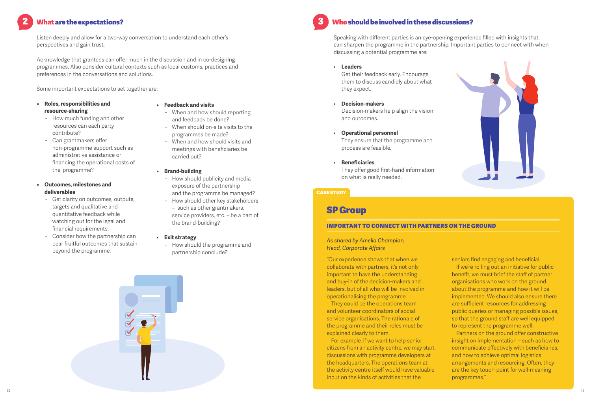## What are the expectations?

Listen deeply and allow for a two-way conversation to understand each other's perspectives and gain trust.

Acknowledge that grantees can offer much in the discussion and in co-designing programmes. Also consider cultural contexts such as local customs, practices and preferences in the conversations and solutions.

Some important expectations to set together are:

- **ů Roles, responsibilities and resource-sharing**
	- How much funding and other resources can each party contribute?
	- Can grantmakers offer non-programme support such as administrative assistance or financing the operational costs of the programme?

#### **ů Outcomes, milestones and deliverables**

- Get clarity on outcomes, outputs, targets and qualitative and quantitative feedback while watching out for the legal and financial requirements.
- Consider how the partnership can bear fruitful outcomes that sustain beyond the programme.

#### **ů Feedback and visits**

- When and how should reporting and feedback be done?
- When should on-site visits to the programmes be made?
- When and how should visits and meetings with beneficiaries be carried out?

#### **ů Brand-building**

- How should publicity and media exposure of the partnership and the programme be managed?
- How should other key stakeholders – such as other grantmakers, service providers, etc. – be a part of the brand-building?

#### ů **Exit strategy**

- How should the programme and partnership conclude?



### Who should be involved in these discussions?

Speaking with different parties is an eye-opening experience filled with insights that can sharpen the programme in the partnership. Important parties to connect with when discussing a potential programme are:

#### ů **Leaders**

Get their feedback early. Encourage them to discuss candidly about what they expect.

- ů **Decision-makers** Decision-makers help align the vision and outcomes.
- ů **Operational personnel** They ensure that the programme and process are feasible.
- ů **Beneficiaries** They offer good first-hand information on what is really needed.

#### CASE STUDY

## SP Group

#### IMPORTANT TO CONNECT WITH PARTNERS ON THE GROUND

#### *As shared by Amelia Champion, Head, Corporate Affairs*

"Our experience shows that when we collaborate with partners, it's not only important to have the understanding and buy-in of the decision-makers and leaders, but of all who will be involved in operationalising the programme.

They could be the operations team and volunteer coordinators of social service organisations. The rationale of the programme and their roles must be explained clearly to them.

For example, if we want to help senior citizens from an activity centre, we may start discussions with programme developers at the headquarters. The operations team at the activity centre itself would have valuable input on the kinds of activities that the

seniors find engaging and beneficial. If we're rolling out an initiative for public benefit, we must brief the staff of partner organisations who work on the ground about the programme and how it will be implemented. We should also ensure there are sufficient resources for addressing public queries or managing possible issues, so that the ground staff are well equipped to represent the programme well.

Partners on the ground offer constructive insight on implementation – such as how to communicate effectively with beneficiaries, and how to achieve optimal logistics arrangements and resourcing. Often, they are the key touch-point for well-meaning programmes."

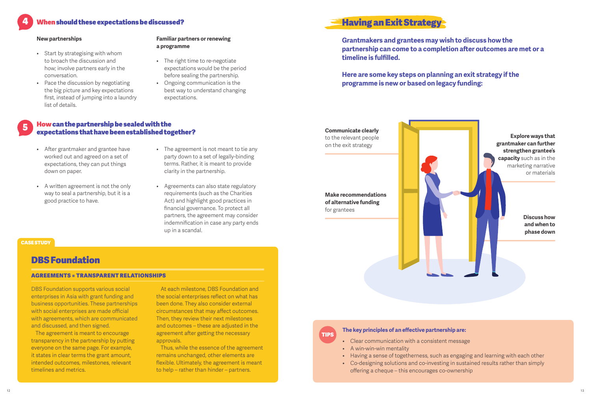#### 4 When should these expectations be discussed?

#### **New partnerships**

- Start by strategising with whom to broach the discussion and how; involve partners early in the conversation.
- Pace the discussion by negotiating the big picture and key expectations first, instead of jumping into a laundry list of details.

#### **Familiar partners or renewing a programme**

- The right time to re-negotiate expectations would be the period before sealing the partnership.
- Ongoing communication is the best way to understand changing expectations.

#### 5 Howcan the partnership be sealed with the expectations that have been established together?

- After grantmaker and grantee have worked out and agreed on a set of expectations, they can put things down on paper.
- A written agreement is not the only way to seal a partnership, but it is a good practice to have.
- The agreement is not meant to tie any party down to a set of legally-binding terms. Rather, it is meant to provide clarity in the partnership.
- ů Agreements can also state regulatory requirements (such as the Charities Act) and highlight good practices in financial governance. To protect all partners, the agreement may consider indemnification in case any party ends up in a scandal.

#### **CASE STUDY**

### DBS Foundation

#### AGREEMENTS = TRANSPARENT RELATIONSHIPS

DBS Foundation supports various social enterprises in Asia with grant funding and business opportunities. These partnerships with social enterprises are made official with agreements, which are communicated and discussed, and then signed.

The agreement is meant to encourage transparency in the partnership by puting everyone on the same page. For example, it states in clear terms the grant amount, intended outcomes, milestones, relevant timelines and metrics.

At each milestone, DBS Foundation and the social enterprises reflect on what has been done. They also consider external circumstances that may affect outcomes. Then, they review their next milestones and outcomes – these are adjusted in the agreement after getting the necessary approvals.

Thus, while the essence of the agreement remains unchanged, other elements are flexible. Ultimately, the agreement is meant to help – rather than hinder – partners.

## Having an Exit Strategy

**Grantmakers and grantees may wish to discuss how the partnership can come to a completion afer outcomes are met or a timeline is fulfilled.**

**Here are some key steps on planning an exit strategy if the programme is new or based on legacy funding:**





#### **The key principles of an effective partnership are:**

- ů Clear communication with a consistent message
- A win-win-win mentality
- Having a sense of togetherness, such as engaging and learning with each other
- ů Co-designing solutions and co-investing in sustained results rather than simply offering a cheque – this encourages co-ownership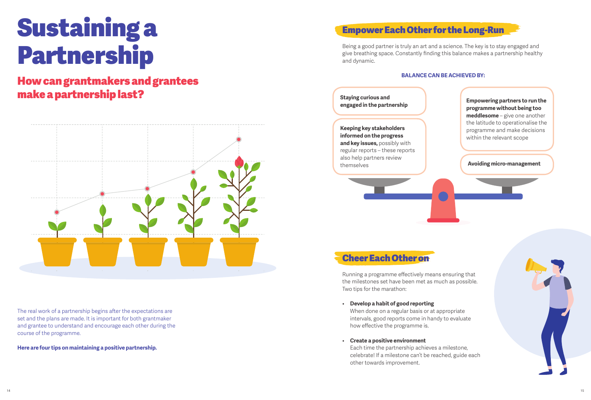# Sustaining a Partnership

## How can grantmakers and grantees make a partnership last?



The real work of a partnership begins after the expectations are set and the plans are made. It is important for both grantmaker and grantee to understand and encourage each other during the course of the programme.

**Here are four tips on maintaining a positive partnership.**

## Empower Each Other for the Long-Run

Being a good partner is truly an art and a science. The key is to stay engaged and give breathing space. Constantly finding this balance makes a partnership healthy and dynamic.

#### **BALANCE CAN BE ACHIEVED BY:**



## Cheer Each Other on

Running a programme effectively means ensuring that the milestones set have been met as much as possible. Two tips for the marathon:

ů **Develop a habit of good reporting**

When done on a regular basis or at appropriate intervals, good reports come in handy to evaluate how effective the programme is.

ů **Create a positive environment**

Each time the partnership achieves a milestone, celebrate! If a milestone can't be reached, guide each other towards improvement.

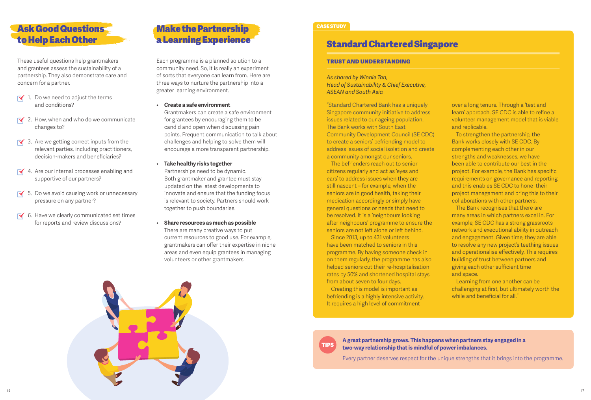

These useful questions help grantmakers and grantees assess the sustainability of a partnership. They also demonstrate care and concern for a partner.

- $\overline{\mathbf{1}}$ . Do we need to adjust the terms and conditions?
- $\overline{\phantom{a}}$  2. How, when and who do we communicate changes to?
- $\overline{\phantom{a}}$  3. Are we getting correct inputs from the relevant parties, including practitioners, decision-makers and beneficiaries?
- $\overline{\mathsf{M}}$  4. Are our internal processes enabling and supportive of our partners?
- $\overline{\phantom{a}}$  5. Do we avoid causing work or unnecessary pressure on any partner?
- $\overline{\phantom{a}}$  6. Have we clearly communicated set times for reports and review discussions?

## Make the Partnership a Learning Experience

Each programme is a planned solution to a TRUST AND UNDERSTANDING community need. So, it is really an experiment of sorts that everyone can learn from. Here are three ways to nurture the partnership into a greater learning environment.

- ů **Create a safe environment** Grantmakers can create a safe environment for grantees by encouraging them to be candid and open when discussing pain points. Frequent communication to talk about challenges and helping to solve them will encourage a more transparent partnership.
- ů **Take healthy risks together** Partnerships need to be dynamic. Both grantmaker and grantee must stay updated on the latest developments to innovate and ensure that the funding focus is relevant to society. Partners should work together to push boundaries.
- ů **Share resources as much as possible** There are many creative ways to put current resources to good use. For example, grantmakers can offer their expertise in niche areas and even equip grantees in managing volunteers or other grantmakers.



#### CASE STUDY

## Standard Chartered Singapore

*As shared by Winnie Tan, Head of Sustainability & Chief Executive, ASEAN and South Asia*

"Standard Chartered Bank has a uniquely Singapore community initiative to address issues related to our ageing population. The Bank works with South East Community Development Council (SE CDC) to create a seniors' befriending model to address issues of social isolation and create a community amongst our seniors.

The befrienders reach out to senior citizens regularly and act as 'eyes and ears' to address issues when they are still nascent – for example, when the seniors are in good health, taking their medication accordingly or simply have general questions or needs that need to be resolved. It is a 'neighbours looking after neighbours' programme to ensure the seniors are not left alone or left behind.

Since 2013, up to 431 volunteers have been matched to seniors in this programme. By having someone check in on them regularly, the programme has also helped seniors cut their re-hospitalisation rates by 50% and shortened hospital stays from about seven to four days.

Creating this model is important as befriending is a highly intensive activity. It requires a high level of commitment

over a long tenure. Through a 'test and learn' approach, SE CDC is able to refine a volunteer management model that is viable and replicable.

To strengthen the partnership, the Bank works closely with SE CDC. By complementing each other in our strengths and weaknesses, we have been able to contribute our best in the project. For example, the Bank has specific requirements on governance and reporting, and this enables SE CDC to hone their project management and bring this to their collaborations with other partners.

The Bank recognises that there are many areas in which partners excel in. For example, SE CDC has a strong grassroots network and executional ability in outreach and engagement. Given time, they are able to resolve any new project's teething issues and operationalise effectively. This requires building of trust between partners and giving each other sufficient time and space.

Learning from one another can be challenging at first, but ultimately worth the while and beneficial for all."



**A great partnership grows. This happens when partners stay engaged in a two-way relationship that is mindful of power imbalances.**

Every partner deserves respect for the unique strengths that it brings into the programme.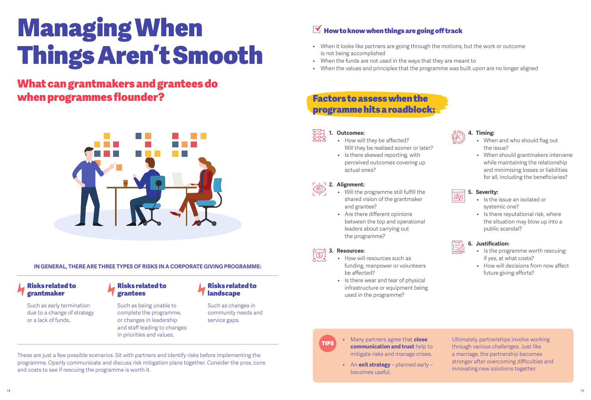## Managing When Things Aren't Smooth

## What can grantmakers and grantees do when programmes flounder?



**IN GENERAL, THERE ARE THREE TYPES OF RISKS IN A CORPORATE GIVING PROGRAMME:**

#### Risks related to grantmaker

Such as early termination due to a change of strategy or a lack of funds.

#### Risks related to grantees

Such as being unable to complete the programme, or changes in leadership and staff leading to changes in priorities and values.

#### Risks related to **landscape**

Such as changes in community needs and service gaps.

These are just a few possible scenarios. Sit with partners and identify risks before implementing the programme. Openly communicate and discuss risk mitigation plans together. Consider the pros, cons and costs to see if rescuing the programme is worth it.

## $\blacktriangleright$  How to know when things are going off track

- When it looks like partners are going through the motions, but the work or outcome is not being accomplished
- ů When the funds are not used in the ways that they are meant to
- ů When the values and principles that the programme was built upon are no longer aligned

## Factors to assess when the programme hits a roadblock:



#### • How will they be affected? Will they be realised sooner or later?

• Is there skewed reporting, with perceived outcomes covering up actual ones?



#### **2. Alignment:**

- ů Will the programme still fulfill the shared vision of the grantmaker and grantee?
- Are there different opinions between the top and operational leaders about carrying out the programme?



#### **3. Resources:**

- How will resources such as funding, manpower or volunteers be affected?
- Is there wear and tear of physical infrastructure or equipment being used in the programme?



#### **4. Timing:**

- When and who should flag out the issue?
- ů When should grantmakers intervene while maintaining the relationship and minimising losses or liabilities for all, including the beneficiaries?

### **5. Severity:**

- ů Is the issue an isolated or systemic one?
- Is there reputational risk, where the situation may blow up into a public scandal?

### **6. Justification:**

- Is the programme worth rescuing; if yes, at what costs?
- How will decisions from now affect future giving efforts?



TIPS ů Many partners agree that **close communication and trust** help to mitigate risks and manage crises.

> ů An **exit strategy** – planned early – becomes useful.

Ultimately, partnerships involve working through various challenges. Just like a marriage, the partnership becomes stronger after overcoming difficulties and innovating new solutions together.

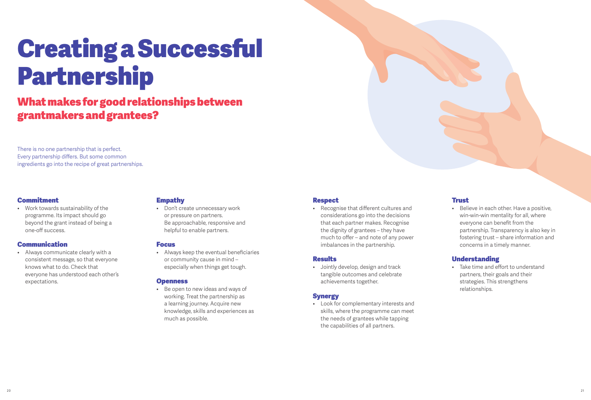## Creating a Successful Partnership

## What makes for good relationships between grantmakers and grantees?

There is no one partnership that is perfect. Every partnership differs. But some common ingredients go into the recipe of great partnerships.

#### Commitment

ů Work towards sustainability of the programme. Its impact should go beyond the grant instead of being a one-off success.

#### **Communication**

ů Always communicate clearly with a consistent message, so that everyone knows what to do. Check that everyone has understood each other's expectations.

#### Empathy

ů Don't create unnecessary work or pressure on partners. Be approachable, responsive and helpful to enable partners.

#### Focus

ů Always keep the eventual beneficiaries or community cause in mind – especially when things get tough.

#### **Openness**

ů Be open to new ideas and ways of working. Treat the partnership as a learning journey. Acquire new knowledge, skills and experiences as much as possible.

#### **Respect**

ů Recognise that different cultures and considerations go into the decisions that each partner makes. Recognise the dignity of grantees – they have much to offer – and note of any power imbalances in the partnership.

#### **Results**

• Jointly develop, design and track tangible outcomes and celebrate achievements together.

#### **Synergy**

ů Look for complementary interests and skills, where the programme can meet the needs of grantees while tapping the capabilities of all partners.

#### Trust

Believe in each other. Have a positive, win-win-win mentality for all, where everyone can benefit from the partnership. Transparency is also key in fostering trust – share information and concerns in a timely manner.

#### Understanding

• Take time and effort to understand partners, their goals and their strategies. This strengthens relationships.